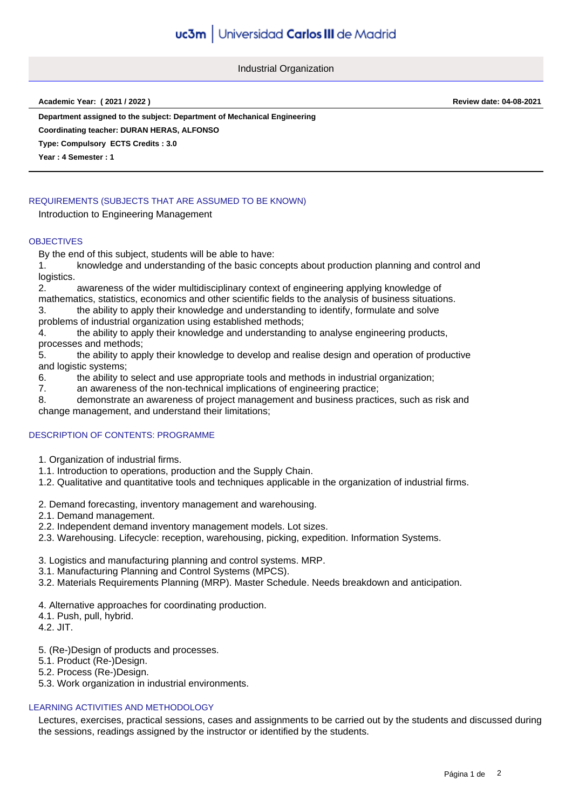Industrial Organization

**Academic Year: ( 2021 / 2022 ) Review date: 04-08-2021**

**Department assigned to the subject: Department of Mechanical Engineering**

**Coordinating teacher: DURAN HERAS, ALFONSO**

**Type: Compulsory ECTS Credits : 3.0**

**Year : 4 Semester : 1**

# REQUIREMENTS (SUBJECTS THAT ARE ASSUMED TO BE KNOWN)

Introduction to Engineering Management

## **OBJECTIVES**

By the end of this subject, students will be able to have:

1. knowledge and understanding of the basic concepts about production planning and control and logistics.

2. awareness of the wider multidisciplinary context of engineering applying knowledge of mathematics, statistics, economics and other scientific fields to the analysis of business situations.

3. the ability to apply their knowledge and understanding to identify, formulate and solve problems of industrial organization using established methods;

4. the ability to apply their knowledge and understanding to analyse engineering products, processes and methods;

5. the ability to apply their knowledge to develop and realise design and operation of productive and logistic systems;

- 6. the ability to select and use appropriate tools and methods in industrial organization;
- 7. an awareness of the non-technical implications of engineering practice;

8. demonstrate an awareness of project management and business practices, such as risk and change management, and understand their limitations;

# DESCRIPTION OF CONTENTS: PROGRAMME

- 1. Organization of industrial firms.
- 1.1. Introduction to operations, production and the Supply Chain.
- 1.2. Qualitative and quantitative tools and techniques applicable in the organization of industrial firms.
- 2. Demand forecasting, inventory management and warehousing.
- 2.1. Demand management.
- 2.2. Independent demand inventory management models. Lot sizes.
- 2.3. Warehousing. Lifecycle: reception, warehousing, picking, expedition. Information Systems.
- 3. Logistics and manufacturing planning and control systems. MRP.
- 3.1. Manufacturing Planning and Control Systems (MPCS).
- 3.2. Materials Requirements Planning (MRP). Master Schedule. Needs breakdown and anticipation.
- 4. Alternative approaches for coordinating production.
- 4.1. Push, pull, hybrid.
- 4.2. JIT.
- 5. (Re-)Design of products and processes.
- 5.1. Product (Re-)Design.
- 5.2. Process (Re-)Design.
- 5.3. Work organization in industrial environments.

## LEARNING ACTIVITIES AND METHODOLOGY

Lectures, exercises, practical sessions, cases and assignments to be carried out by the students and discussed during the sessions, readings assigned by the instructor or identified by the students.